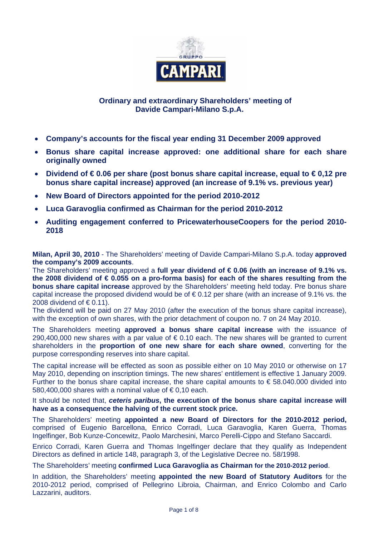

# **Ordinary and extraordinary Shareholders' meeting of Davide Campari-Milano S.p.A.**

- **Company's accounts for the fiscal year ending 31 December 2009 approved**
- **Bonus share capital increase approved: one additional share for each share originally owned**
- **Dividend of € 0.06 per share (post bonus share capital increase, equal to € 0,12 pre bonus share capital increase) approved (an increase of 9.1% vs. previous year)**
- **New Board of Directors appointed for the period 2010-2012**
- **Luca Garavoglia confirmed as Chairman for the period 2010-2012**
- **Auditing engagement conferred to PricewaterhouseCoopers for the period 2010- 2018**

**Milan, April 30, 2010** - The Shareholders' meeting of Davide Campari-Milano S.p.A. today **approved the company's 2009 accounts**.

The Shareholders' meeting approved a **full year dividend of € 0.06 (with an increase of 9.1% vs. the 2008 dividend of € 0.055 on a pro-forma basis) for each of the shares resulting from the bonus share capital increase** approved by the Shareholders' meeting held today. Pre bonus share capital increase the proposed dividend would be of  $\epsilon$  0.12 per share (with an increase of 9.1% vs. the 2008 dividend of  $\in$  0.11).

The dividend will be paid on 27 May 2010 (after the execution of the bonus share capital increase), with the exception of own shares, with the prior detachment of coupon no. 7 on 24 May 2010.

The Shareholders meeting **approved a bonus share capital increase** with the issuance of 290,400,000 new shares with a par value of  $\epsilon$  0.10 each. The new shares will be granted to current shareholders in the **proportion of one new share for each share owned**, converting for the purpose corresponding reserves into share capital.

The capital increase will be effected as soon as possible either on 10 May 2010 or otherwise on 17 May 2010, depending on inscription timings. The new shares' entitlement is effective 1 January 2009. Further to the bonus share capital increase, the share capital amounts to  $\epsilon$  58.040.000 divided into 580,400,000 shares with a nominal value of  $\epsilon$ 0,10 each.

It should be noted that, *ceteris paribus***, the execution of the bonus share capital increase will have as a consequence the halving of the current stock price.** 

The Shareholders' meeting **appointed a new Board of Directors for the 2010-2012 period,**  comprised of Eugenio Barcellona, Enrico Corradi, Luca Garavoglia, Karen Guerra, Thomas Ingelfinger, Bob Kunze-Concewitz, Paolo Marchesini, Marco Perelli-Cippo and Stefano Saccardi.

Enrico Corradi, Karen Guerra and Thomas Ingelfinger declare that they qualify as Independent Directors as defined in article 148, paragraph 3, of the Legislative Decree no. 58/1998.

The Shareholders' meeting **confirmed Luca Garavoglia as Chairman for the 2010-2012 period**.

In addition, the Shareholders' meeting **appointed the new Board of Statutory Auditors** for the 2010-2012 period, comprised of Pellegrino Libroia, Chairman, and Enrico Colombo and Carlo Lazzarini, auditors.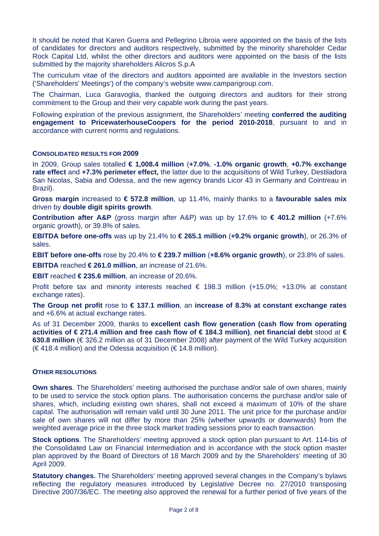It should be noted that Karen Guerra and Pellegrino Libroia were appointed on the basis of the lists of candidates for directors and auditors respectively, submitted by the minority shareholder Cedar Rock Capital Ltd, whilst the other directors and auditors were appointed on the basis of the lists submitted by the majority shareholders Alicros S.p.A

The curriculum vitae of the directors and auditors appointed are available in the Investors section ('Shareholders' Meetings') of the company's website www.camparigroup.com.

The Chairman, Luca Garavoglia, thanked the outgoing directors and auditors for their strong commitment to the Group and their very capable work during the past years.

Following expiration of the previous assignment, the Shareholders' meeting **conferred the auditing engagement to PricewaterhouseCoopers for the period 2010-2018**, pursuant to and in accordance with current norms and regulations.

#### **CONSOLIDATED RESULTS FOR 2009**

In 2009, Group sales totalled **€ 1,008.4 million** (**+7.0%**, **-1.0% organic growth**, **+0.7% exchange rate effect** and **+7.3% perimeter effect,** the latter due to the acquisitions of Wild Turkey, Destiladora San Nicolas, Sabia and Odessa, and the new agency brands Licor 43 in Germany and Cointreau in Brazil).

**Gross margin** increased to **€ 572.8 million**, up 11.4%, mainly thanks to a **favourable sales mix** driven by **double digit spirits growth**.

**Contribution after A&P** (gross margin after A&P) was up by 17.6% to **€ 401.2 million** (+7.6% organic growth), or 39.8% of sales.

**EBITDA before one-offs** was up by 21.4% to **€ 265.1 million** (**+9.2% organic growth**), or 26.3% of sales.

**EBIT before one-offs** rose by 20.4% to **€ 239.7 million** (**+8.6% organic growth**), or 23.8% of sales.

**EBITDA** reached **€ 261.0 million**, an increase of 21.6%.

**EBIT** reached **€ 235.6 million**, an increase of 20.6%.

Profit before tax and minority interests reached  $\in$  198.3 million (+15.0%; +13.0% at constant exchange rates).

**The Group net profit** rose to **€ 137.1 million**, an **increase of 8.3% at constant exchange rates** and +6.6% at actual exchange rates.

As of 31 December 2009, thanks to **excellent cash flow generation (cash flow from operating activities of € 271.4 million and free cash flow of € 184.3 million)**, **net financial debt** stood at **€ 630.8 million** (€ 326.2 million as of 31 December 2008) after payment of the Wild Turkey acquisition  $(\in$  418.4 million) and the Odessa acquisition ( $\in$  14.8 million).

### **OTHER RESOLUTIONS**

**Own shares**. The Shareholders' meeting authorised the purchase and/or sale of own shares, mainly to be used to service the stock option plans. The authorisation concerns the purchase and/or sale of shares, which, including existing own shares, shall not exceed a maximum of 10% of the share capital. The authorisation will remain valid until 30 June 2011. The unit price for the purchase and/or sale of own shares will not differ by more than 25% (whether upwards or downwards) from the weighted average price in the three stock market trading sessions prior to each transaction.

**Stock options**. The Shareholders' meeting approved a stock option plan pursuant to Art. 114-bis of the Consolidated Law on Financial Intermediation and in accordance with the stock option master plan approved by the Board of Directors of 18 March 2009 and by the Shareholders' meeting of 30 April 2009.

**Statutory changes.** The Shareholders' meeting approved several changes in the Company's bylaws reflecting the regulatory measures introduced by Legislative Decree no. 27/2010 transposing Directive 2007/36/EC. The meeting also approved the renewal for a further period of five years of the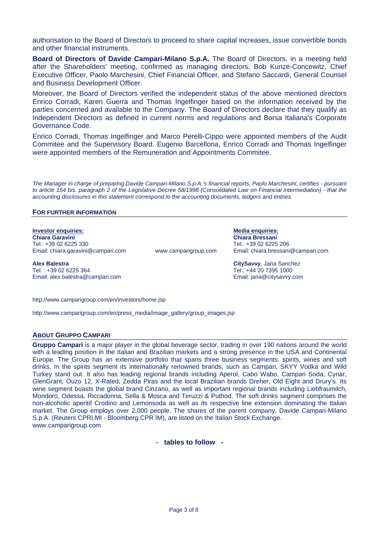authorisation to the Board of Directors to proceed to share capital increases, issue convertible bonds and other financial instruments.

**Board of Directors of Davide Campari-Milano S.p.A.** The Board of Directors, in a meeting held after the Shareholders' meeting, confirmed as managing directors, Bob Kunze-Concewitz, Chief Executive Officer, Paolo Marchesini, Chief Financial Officer, and Stefano Saccardi, General Counsel and Business Development Officer.

Moreover, the Board of Directors verified the independent status of the above mentioned directors Enrico Corradi, Karen Guerra and Thomas Ingelfinger based on the information received by the parties concerned and available to the Company. The Board of Directors declare that they qualify as Independent Directors as defined in current norms and regulations and Borsa Italiana's Corporate Governance Code.

Enrico Corradi, Thomas Ingelfinger and Marco Perelli-Cippo were appointed members of the Audit Commitee and the Supervisory Board. Eugenio Barcellona, Enrico Corradi and Thomas Ingelfinger were appointed members of the Remuneration and Appointments Commitee.

*The Manager in charge of preparing Davide Campari-Milano S.p.A.'s financial reports, Paolo Marchesini, certifies - pursuant to article 154 bis, paragraph 2 of the Legislative Decree 58/1998 (Consolidated Law on Financial intermediation) - that the accounting disclosures in this statement correspond to the accounting documents, ledgers and entries.* 

#### **FOR FURTHER INFORMATION**

#### **Investor enquiries:** Media enquiries: Media enquiries: Media enquiries: Media enquiries: Media enquiries: Media enquiries: Media enquiries: Media enquiries: Media enquiries: Media enquiries: Media enquiries: Media enquiri

**Chiara Garavini Chiara Bressani**  Tel.: +39 02 6225 330 Tel.: +39 02 6225 206 Email: chiara.garavini@campari.com www.camparigroup.com Email: chiara.bressani@campari.com

**Alex Balestra CitySavvy**, Jana Sanchez Email: alex.balestra@campari.com etc. exercise and the email: jana@citysavvy.com

Tel.: +44 20 7395 1000

http://www.camparigroup.com/en/investors/home.jsp

http://www.camparigroup.com/en/press\_media/image\_gallery/group\_images.jsp

#### **ABOUT GRUPPO CAMPARI**

**Gruppo Campari** is a major player in the global beverage sector, trading in over 190 nations around the world with a leading position in the Italian and Brazilian markets and a strong presence in the USA and Continental Europe. The Group has an extensive portfolio that spans three business segments: spirits, wines and soft drinks. In the spirits segment its internationally renowned brands, such as Campari, SKYY Vodka and Wild Turkey stand out. It also has leading regional brands including Aperol, Cabo Wabo, Campari Soda, Cynar, GlenGrant, Ouzo 12, X-Rated, Zedda Piras and the local Brazilian brands Dreher, Old Eight and Drury's. Its wine segment boasts the global brand Cinzano, as well as important regional brands including Liebfraumilch, Mondoro, Odessa, Riccadonna, Sella & Mosca and Teruzzi & Puthod. The soft drinks segment comprises the non-alcoholic aperitif Crodino and Lemonsoda as well as its respective line extension dominating the Italian market. The Group employs over 2,000 people. The shares of the parent company, Davide Campari-Milano S.p.A. (Reuters CPRI.MI - Bloomberg CPR IM), are listed on the Italian Stock Exchange. www.camparigroup.com

**- tables to follow -**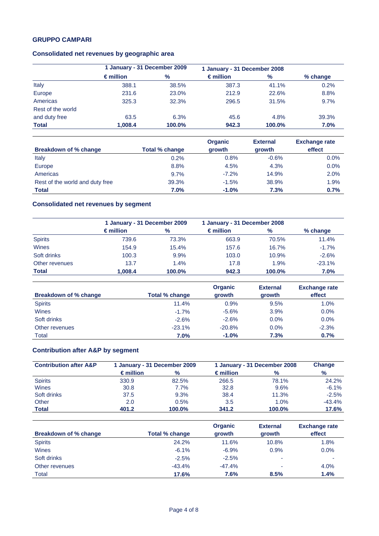# **GRUPPO CAMPARI**

# **Consolidated net revenues by geographic area**

|                   | 1 January - 31 December 2009 |        |                    | 1 January - 31 December 2008 |          |
|-------------------|------------------------------|--------|--------------------|------------------------------|----------|
|                   | $\epsilon$ million           | $\%$   | $\epsilon$ million | $\frac{9}{6}$                | % change |
| Italy             | 388.1                        | 38.5%  | 387.3              | 41.1%                        | 0.2%     |
| Europe            | 231.6                        | 23.0%  | 212.9              | 22.6%                        | 8.8%     |
| Americas          | 325.3                        | 32.3%  | 296.5              | 31.5%                        | 9.7%     |
| Rest of the world |                              |        |                    |                              |          |
| and duty free     | 63.5                         | 6.3%   | 45.6               | 4.8%                         | 39.3%    |
| <b>Total</b>      | 1,008.4                      | 100.0% | 942.3              | 100.0%                       | 7.0%     |

|                                 |                | <b>Organic</b> | <b>External</b> | <b>Exchange rate</b> |
|---------------------------------|----------------|----------------|-----------------|----------------------|
| <b>Breakdown of % change</b>    | Total % change | growth         | growth          | effect               |
| Italy                           | 0.2%           | 0.8%           | $-0.6%$         | 0.0%                 |
| Europe                          | 8.8%           | 4.5%           | 4.3%            | 0.0%                 |
| Americas                        | 9.7%           | $-7.2\%$       | 14.9%           | 2.0%                 |
| Rest of the world and duty free | 39.3%          | $-1.5%$        | 38.9%           | 1.9%                 |
| <b>Total</b>                    | 7.0%           | $-1.0%$        | 7.3%            | 0.7%                 |

# **Consolidated net revenues by segment**

|                |                    | 1 January - 31 December 2009 |                    | 1 January - 31 December 2008 |          |
|----------------|--------------------|------------------------------|--------------------|------------------------------|----------|
|                | $\epsilon$ million | $\%$                         | $\epsilon$ million | $\%$                         | % change |
| <b>Spirits</b> | 739.6              | 73.3%                        | 663.9              | 70.5%                        | 11.4%    |
| Wines          | 154.9              | 15.4%                        | 157.6              | 16.7%                        | $-1.7%$  |
| Soft drinks    | 100.3              | 9.9%                         | 103.0              | 10.9%                        | $-2.6%$  |
| Other revenues | 13.7               | 1.4%                         | 17.8               | 1.9%                         | $-23.1%$ |
| <b>Total</b>   | 1.008.4            | 100.0%                       | 942.3              | 100.0%                       | $7.0\%$  |

|                       |                | <b>Organic</b> | <b>External</b> | <b>Exchange rate</b> |
|-----------------------|----------------|----------------|-----------------|----------------------|
| Breakdown of % change | Total % change | growth         | growth          | effect               |
| <b>Spirits</b>        | 11.4%          | 0.9%           | 9.5%            | 1.0%                 |
| Wines                 | $-1.7%$        | $-5.6%$        | 3.9%            | 0.0%                 |
| Soft drinks           | $-2.6%$        | $-2.6%$        | 0.0%            | 0.0%                 |
| Other revenues        | $-23.1%$       | $-20.8%$       | 0.0%            | $-2.3%$              |
| Total                 | 7.0%           | $-1.0%$        | 7.3%            | 0.7%                 |

# **Contribution after A&P by segment**

| <b>Contribution after A&amp;P</b> | 1 January - 31 December 2009<br>1 January - 31 December 2008 |         |                    | <b>Change</b> |          |
|-----------------------------------|--------------------------------------------------------------|---------|--------------------|---------------|----------|
|                                   | $\epsilon$ million                                           | $\%$    | $\epsilon$ million | $\%$          | %        |
| <b>Spirits</b>                    | 330.9                                                        | 82.5%   | 266.5              | 78.1%         | 24.2%    |
| <b>Wines</b>                      | 30.8                                                         | $7.7\%$ | 32.8               | 9.6%          | $-6.1%$  |
| Soft drinks                       | 37.5                                                         | 9.3%    | 38.4               | 11.3%         | $-2.5%$  |
| Other                             | 2.0                                                          | 0.5%    | 3.5                | 1.0%          | $-43.4%$ |
| Total                             | 401.2                                                        | 100.0%  | 341.2              | 100.0%        | 17.6%    |

|                              |                | <b>Organic</b> | <b>External</b>          | <b>Exchange rate</b> |
|------------------------------|----------------|----------------|--------------------------|----------------------|
| <b>Breakdown of % change</b> | Total % change | growth         | growth                   | effect               |
| <b>Spirits</b>               | 24.2%          | 11.6%          | 10.8%                    | 1.8%                 |
| Wines                        | $-6.1%$        | $-6.9%$        | 0.9%                     | $0.0\%$              |
| Soft drinks                  | $-2.5%$        | $-2.5%$        | $\overline{\phantom{a}}$ |                      |
| Other revenues               | $-43.4%$       | $-47.4%$       | $\overline{\phantom{a}}$ | 4.0%                 |
| Total                        | 17.6%          | 7.6%           | 8.5%                     | 1.4%                 |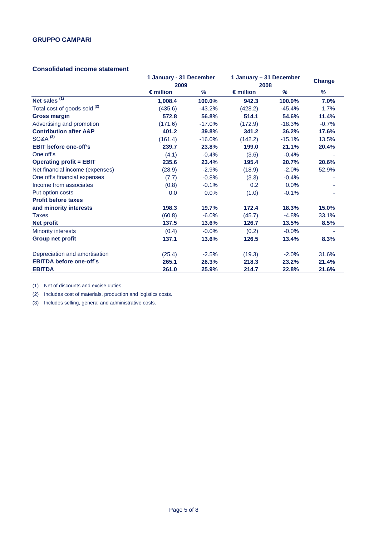### **Consolidated income statement**

|                                         | 1 January - 31 December<br>2009 |          |                    | 1 January - 31 December<br>2008 |         |
|-----------------------------------------|---------------------------------|----------|--------------------|---------------------------------|---------|
|                                         | $\epsilon$ million              | %        | $\epsilon$ million | %                               | %       |
| Net sales $(1)$                         | 1.008.4                         | 100.0%   | 942.3              | 100.0%                          | 7.0%    |
| Total cost of goods sold <sup>(2)</sup> | (435.6)                         | $-43.2%$ | (428.2)            | $-45.4%$                        | 1.7%    |
| <b>Gross margin</b>                     | 572.8                           | 56.8%    | 514.1              | 54.6%                           | 11.4%   |
| Advertising and promotion               | (171.6)                         | $-17.0%$ | (172.9)            | $-18.3%$                        | $-0.7%$ |
| <b>Contribution after A&amp;P</b>       | 401.2                           | 39.8%    | 341.2              | 36.2%                           | 17.6%   |
| SG&A <sup>(3)</sup>                     | (161.4)                         | $-16.0%$ | (142.2)            | $-15.1%$                        | 13.5%   |
| <b>EBIT before one-off's</b>            | 239.7                           | 23.8%    | 199.0              | 21.1%                           | 20.4%   |
| One off's                               | (4.1)                           | $-0.4%$  | (3.6)              | $-0.4%$                         |         |
| <b>Operating profit = EBIT</b>          | 235.6                           | 23.4%    | 195.4              | 20.7%                           | 20.6%   |
| Net financial income (expenses)         | (28.9)                          | $-2.9%$  | (18.9)             | $-2.0%$                         | 52.9%   |
| One off's financial expenses            | (7.7)                           | $-0.8%$  | (3.3)              | $-0.4%$                         |         |
| Income from associates                  | (0.8)                           | $-0.1%$  | 0.2                | 0.0%                            |         |
| Put option costs                        | 0.0                             | 0.0%     | (1.0)              | $-0.1%$                         |         |
| <b>Profit before taxes</b>              |                                 |          |                    |                                 |         |
| and minority interests                  | 198.3                           | 19.7%    | 172.4              | 18.3%                           | 15.0%   |
| <b>Taxes</b>                            | (60.8)                          | $-6.0%$  | (45.7)             | $-4.8%$                         | 33.1%   |
| <b>Net profit</b>                       | 137.5                           | 13.6%    | 126.7              | 13.5%                           | 8.5%    |
| <b>Minority interests</b>               | (0.4)                           | $-0.0%$  | (0.2)              | $-0.0%$                         |         |
| <b>Group net profit</b>                 | 137.1                           | 13.6%    | 126.5              | 13.4%                           | 8.3%    |
| Depreciation and amortisation           | (25.4)                          | $-2.5%$  | (19.3)             | $-2.0%$                         | 31.6%   |
| <b>EBITDA before one-off's</b>          | 265.1                           | 26.3%    | 218.3              | 23.2%                           | 21.4%   |
| <b>EBITDA</b>                           | 261.0                           | 25.9%    | 214.7              | 22.8%                           | 21.6%   |

(1) Net of discounts and excise duties.

(2) Includes cost of materials, production and logistics costs.

(3) Includes selling, general and administrative costs.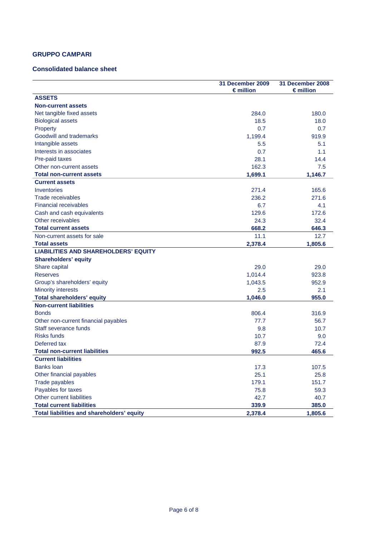# **GRUPPO CAMPARI**

### **Consolidated balance sheet**

|                                             | 31 December 2009<br>$\epsilon$ million | 31 December 2008<br>$\epsilon$ million |
|---------------------------------------------|----------------------------------------|----------------------------------------|
| <b>ASSETS</b>                               |                                        |                                        |
| <b>Non-current assets</b>                   |                                        |                                        |
| Net tangible fixed assets                   | 284.0                                  | 180.0                                  |
| <b>Biological assets</b>                    | 18.5                                   | 18.0                                   |
| Property                                    | 0.7                                    | 0.7                                    |
| Goodwill and trademarks                     | 1,199.4                                | 919.9                                  |
| Intangible assets                           | 5.5                                    | 5.1                                    |
| Interests in associates                     | 0.7                                    | 1.1                                    |
| Pre-paid taxes                              | 28.1                                   | 14.4                                   |
| Other non-current assets                    | 162.3                                  | 7.5                                    |
| <b>Total non-current assets</b>             | 1,699.1                                | 1,146.7                                |
| <b>Current assets</b>                       |                                        |                                        |
| Inventories                                 | 271.4                                  | 165.6                                  |
| Trade receivables                           | 236.2                                  | 271.6                                  |
| <b>Financial receivables</b>                | 6.7                                    | 4.1                                    |
| Cash and cash equivalents                   | 129.6                                  | 172.6                                  |
| Other receivables                           | 24.3                                   | 32.4                                   |
| <b>Total current assets</b>                 | 668.2                                  | 646.3                                  |
| Non-current assets for sale                 | 11.1                                   | 12.7                                   |
| <b>Total assets</b>                         | 2,378.4                                | 1,805.6                                |
| <b>LIABILITIES AND SHAREHOLDERS' EQUITY</b> |                                        |                                        |
| <b>Shareholders' equity</b>                 |                                        |                                        |
| Share capital                               | 29.0                                   | 29.0                                   |
| <b>Reserves</b>                             | 1,014.4                                | 923.8                                  |
| Group's shareholders' equity                | 1,043.5                                | 952.9                                  |
| <b>Minority interests</b>                   | 2.5                                    | 2.1                                    |
| <b>Total shareholders' equity</b>           | 1,046.0                                | 955.0                                  |
| <b>Non-current liabilities</b>              |                                        |                                        |
| <b>Bonds</b>                                | 806.4                                  | 316.9                                  |
| Other non-current financial payables        | 77.7                                   | 56.7                                   |
| Staff severance funds                       | 9.8                                    | 10.7                                   |
| <b>Risks funds</b>                          | 10.7                                   | 9.0                                    |
| Deferred tax                                | 87.9                                   | 72.4                                   |
| <b>Total non-current liabilities</b>        | 992.5                                  | 465.6                                  |
| <b>Current liabilities</b>                  |                                        |                                        |
| <b>Banks loan</b>                           | 17.3                                   | 107.5                                  |
| Other financial payables                    | 25.1                                   | 25.8                                   |
| Trade payables                              | 179.1                                  | 151.7                                  |
| Payables for taxes                          | 75.8                                   | 59.3                                   |
| Other current liabilities                   | 42.7                                   | 40.7                                   |
| <b>Total current liabilities</b>            | 339.9                                  | 385.0                                  |
| Total liabilities and shareholders' equity  | 2,378.4                                | 1,805.6                                |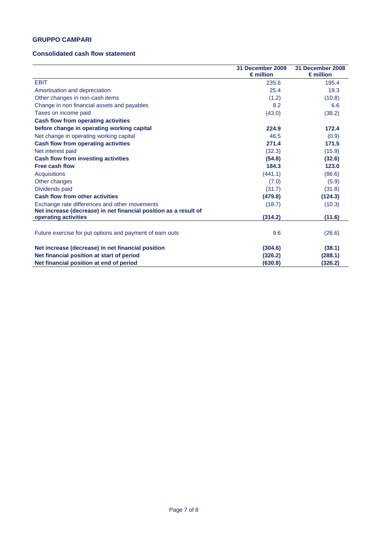## **GRUPPO CAMPARI**

### **Consolidated cash flow statement**

|                                                                                                                   | 31 December 2009<br>$\epsilon$ million | 31 December 2008<br>$\epsilon$ million |
|-------------------------------------------------------------------------------------------------------------------|----------------------------------------|----------------------------------------|
| <b>EBIT</b>                                                                                                       | 235.6                                  | 195.4                                  |
| Amortisation and depreciation                                                                                     | 25.4                                   | 19.3                                   |
| Other changes in non-cash items                                                                                   | (1.2)                                  | (10.8)                                 |
| Change in non financial assets and payables                                                                       | 8.2                                    | 6.6                                    |
| Taxes on income paid                                                                                              | (43.0)                                 | (38.2)                                 |
| <b>Cash flow from operating activities</b>                                                                        |                                        |                                        |
| before change in operating working capital                                                                        | 224.9                                  | 172.4                                  |
| Net change in operating working capital                                                                           | 46.5                                   | (0.9)                                  |
| <b>Cash flow from operating activities</b>                                                                        | 271.4                                  | 171.5                                  |
| Net interest paid                                                                                                 | (32.3)                                 | (15.9)                                 |
| Cash flow from investing activities                                                                               | (54.8)                                 | (32.6)                                 |
| <b>Free cash flow</b>                                                                                             | 184.3                                  | 123.0                                  |
| Acquisitions                                                                                                      | (441.1)                                | (86.6)                                 |
| Other changes                                                                                                     | (7.0)                                  | (5.9)                                  |
| Dividends paid                                                                                                    | (31.7)                                 | (31.8)                                 |
| <b>Cash flow from other activities</b>                                                                            | (479.8)                                | (124.3)                                |
| Exchange rate differences and other movements<br>Net increase (decrease) in net financial position as a result of | (18.7)                                 | (10.3)                                 |
| operating activities                                                                                              | (314.2)                                | (11.6)                                 |
| Future exercise for put options and payment of earn outs                                                          | 9.6                                    | (26.6)                                 |
| Net increase (decrease) in net financial position                                                                 | (304.6)                                | (38.1)                                 |
| Net financial position at start of period                                                                         | (326.2)                                | (288.1)                                |
| Net financial position at end of period                                                                           | (630.8)                                | (326.2)                                |